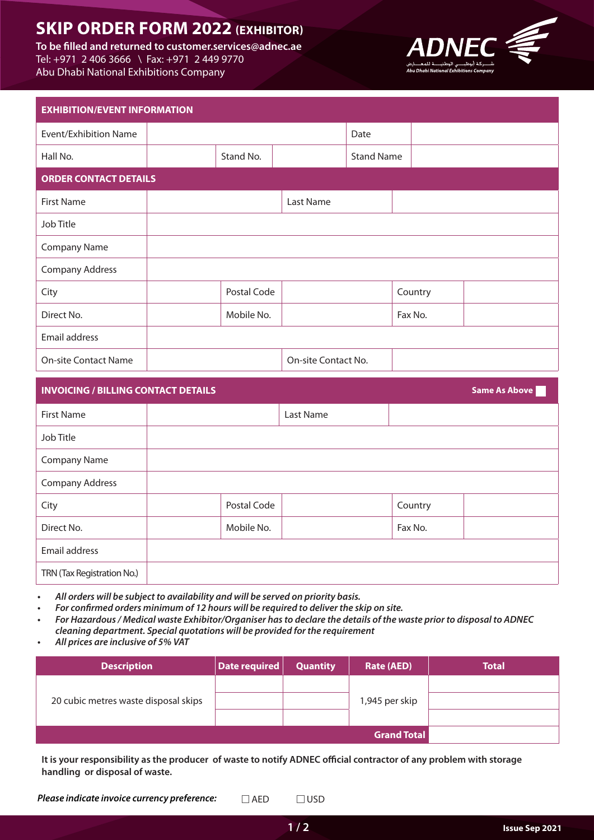# **SKIP ORDER FORM 2022 (EXHIBITOR)**

To be filled and returned to customer.services@adnec.ae Tel: +971 2 406 3666 \ Fax: +971 2 449 9770 Abu Dhabi National Exhibitions Company



| <b>EXHIBITION/EVENT INFORMATION</b> |  |             |                     |                   |         |
|-------------------------------------|--|-------------|---------------------|-------------------|---------|
| Event/Exhibition Name               |  |             |                     | Date              |         |
| Hall No.                            |  | Stand No.   |                     | <b>Stand Name</b> |         |
| <b>ORDER CONTACT DETAILS</b>        |  |             |                     |                   |         |
| <b>First Name</b>                   |  |             | Last Name           |                   |         |
| Job Title                           |  |             |                     |                   |         |
| <b>Company Name</b>                 |  |             |                     |                   |         |
| <b>Company Address</b>              |  |             |                     |                   |         |
| City                                |  | Postal Code |                     |                   | Country |
| Direct No.                          |  | Mobile No.  |                     |                   | Fax No. |
| Email address                       |  |             |                     |                   |         |
| <b>On-site Contact Name</b>         |  |             | On-site Contact No. |                   |         |

| <b>Same As Above</b><br><b>INVOICING / BILLING CONTACT DETAILS</b> |             |           |         |  |
|--------------------------------------------------------------------|-------------|-----------|---------|--|
| <b>First Name</b>                                                  |             | Last Name |         |  |
| Job Title                                                          |             |           |         |  |
| <b>Company Name</b>                                                |             |           |         |  |
| <b>Company Address</b>                                             |             |           |         |  |
| City                                                               | Postal Code |           | Country |  |
| Direct No.                                                         | Mobile No.  |           | Fax No. |  |
| Email address                                                      |             |           |         |  |
| TRN (Tax Registration No.)                                         |             |           |         |  |

- All orders will be subject to availability and will be served on priority basis.
- For confirmed orders minimum of 12 hours will be required to deliver the skip on site.
- For Hazardous / Medical waste Exhibitor/Organiser has to declare the details of the waste prior to disposal to ADNEC *cleaning department. Special quotations will be provided for the requirement*
- All prices are inclusive of 5% VAT

| <b>Description</b>                   | Date required | <b>Quantity</b> | <b>Rate (AED)</b>  | <b>Total</b> |
|--------------------------------------|---------------|-----------------|--------------------|--------------|
|                                      |               |                 |                    |              |
| 20 cubic metres waste disposal skips |               |                 | 1,945 per skip     |              |
|                                      |               |                 |                    |              |
|                                      |               |                 | <b>Grand Total</b> |              |

It is your responsibility as the producer of waste to notify ADNEC official contractor of any problem with storage handling or disposal of waste.

**2 / 1**